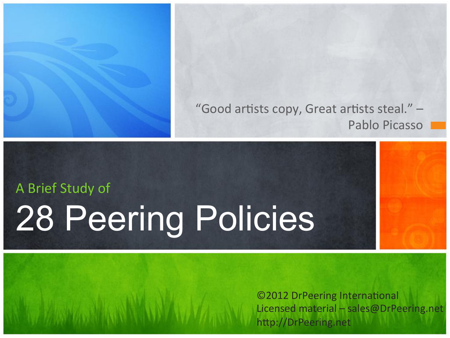

#### "Good artists copy, Great artists steal."  $-$ Pablo Picasso

# A Brief Study of 28 Peering Policies

©2012 DrPeering International Licensed material  $-$  sales@DrPeering.net http://DrPeering.net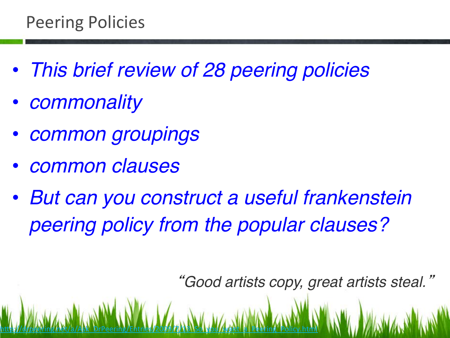- *This brief review of 28 peering policies*
- *commonality*
- *common groupings*
- *common clauses*
- *But can you construct a useful frankenstein peering policy from the popular clauses?*

http://drpeering.het/a/Ask\_DrPeering/Entries/2009/7/13\_So\_you\_want\_a\_Peering\_Policy.html

"*Good artists copy, great artists steal.*"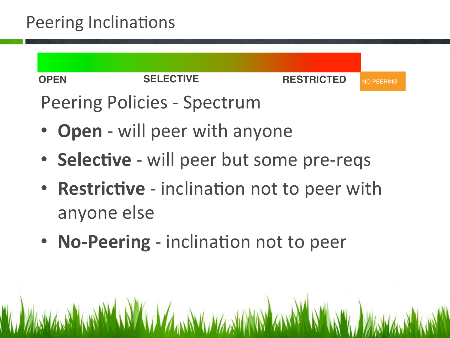#### Peering Inclinations



## Peering Policies - Spectrum

- **Open** will peer with anyone
- **Selective** will peer but some pre-reqs
- **Restrictive** inclination not to peer with anyone else
- **No-Peering** inclination not to peer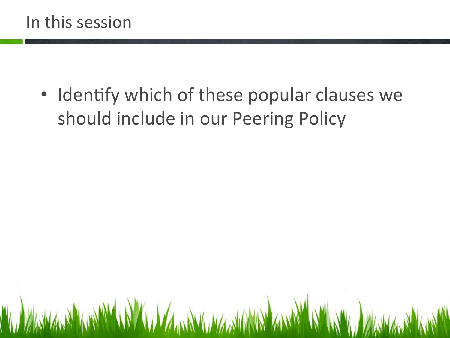#### In this session

• Identify which of these popular clauses we should include in our Peering Policy

**THE PERMANENT REPORT OF A STATE OF STATE AND A STATE OF A STATE OF A STATE OF A STATE OF A STATE OF A STATE OF**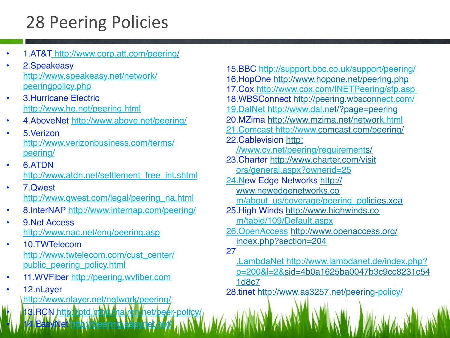### 28 Peering Policies

- 1.AT&T http://www.corp.att.com/peering/
- 2.Speakeasy http://www.speakeasy.net/network/ peeringpolicy.php
- 3.Hurricane Electric http://www.he.net/peering.html
- 4.AboveNet http://www.above.net/peering/
- 5.Verizon http://www.verizonbusiness.com/terms/ peering/
- 6.ATDN http://www.atdn.net/settlement\_free\_int.shtml
- 7.Qwest http://www.qwest.com/legal/peering\_na.html
- 8.InterNAP http://www.internap.com/peering/
- 9. Net Access http://www.nac.net/eng/peering.asp
- 10.TWTelecom http://www.twtelecom.com/cust\_center/ public peering policy.html
- 11.WVFiber http://peering.wvfiber.com

• 14. EasyNet http://peering.easynet.net/

• 12.nLayer http://www.nlayer.net/network/peering/

3.RCN http://btd.mbo.ma.rcn.net/beer-policy/

15.BBC http://support.bbc.co.uk/support/peering/ 16.HopOne http://www.hopone.net/peering.php 17.Cox http://www.cox.com/INETPeering/sfp.asp 18.WBSConnect http://peering.wbsconnect.com/ 19.DalNet http://www.dal.net/?page=peering 20.MZima http://www.mzima.net/network.html 21.Comcast http://www.comcast.com/peering/ 22. Cablevision http: //www.cv.net/peering/requirements/ 23.Charter http://www.charter.com/visit ors/general.aspx?ownerid=25 24.New Edge Networks http:// www.newedgenetworks.co m/about\_us/coverage/peering\_policies.xea 25.High Winds http://www.highwinds.co m/tabid/109/Default.aspx 26.OpenAccess http://www.openaccess.org/ index.php?section=204 27 .LambdaNet http://www.lambdanet.de/index.php? p=200&l=2&sid=4b0a1625ba0047b3c9cc8231c54 1d8c7 28.tinet http://www.as3257.net/peering-policy/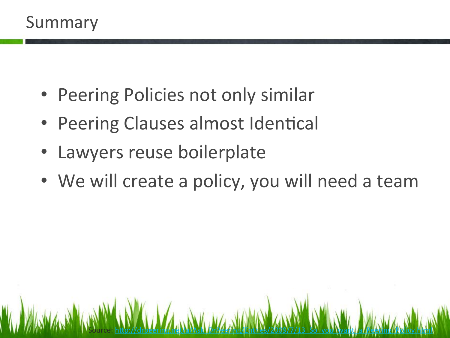#### Summary

- Peering Policies not only similar
- Peering Clauses almost Identical
- Lawyers reuse boilerplate
- We will create a policy, you will need a team

Source: <u>http://drpeering.net/a/Ask\_DrPee/ing/Entries/2009/7/13\_So\_you\_want</u>\_a\_Peering\_Policy.html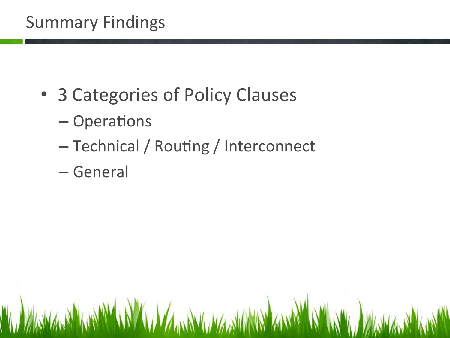#### Summary Findings

- 3 Categories of Policy Clauses
	- $-$  Operations
	- Technical / Routing / Interconnect
	- General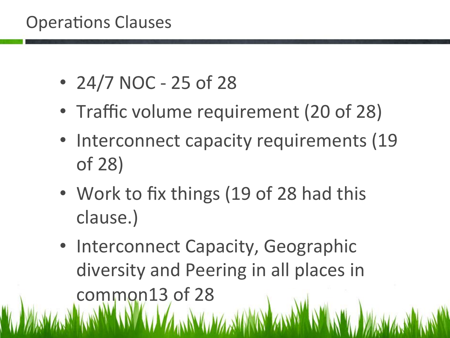#### **Operations Clauses**

- $24/7$  NOC 25 of 28
- Traffic volume requirement (20 of 28)
- Interconnect capacity requirements (19) of 28)
- Work to fix things (19 of 28 had this clause.)
- Interconnect Capacity, Geographic diversity and Peering in all places in common13 of 28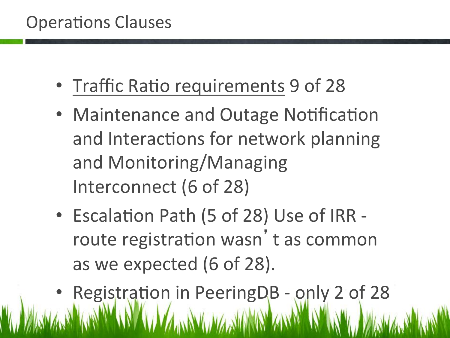#### **Operations Clauses**

- Traffic Ratio requirements 9 of 28
- Maintenance and Outage Notification and Interactions for network planning and Monitoring/Managing Interconnect (6 of 28)
- Escalation Path (5 of 28) Use of IRR route registration wasn't as common as we expected (6 of 28).
- Registration in PeeringDB only 2 of 28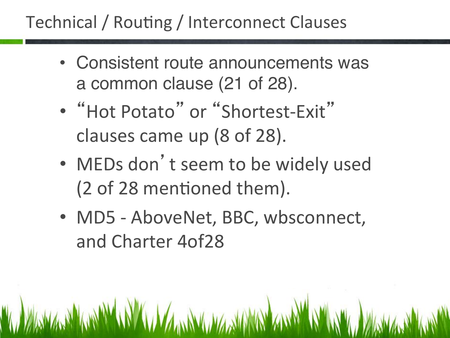### Technical / Routing / Interconnect Clauses

- Consistent route announcements was a common clause (21 of 28).
- "Hot Potato" or "Shortest-Exit" clauses came up (8 of 28).
- MEDs don't seem to be widely used (2 of 28 mentioned them).
- MD5 AboveNet, BBC, wbsconnect, and Charter 4of28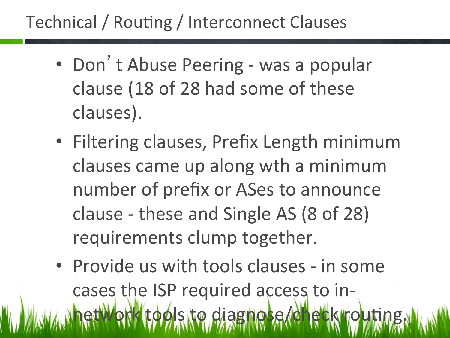### Technical / Routing / Interconnect Clauses

- Don't Abuse Peering was a popular clause (18 of 28 had some of these clauses).
- Filtering clauses, Prefix Length minimum clauses came up along wth a minimum number of prefix or ASes to announce clause - these and Single AS (8 of 28) requirements clump together.
- Provide us with tools clauses in some cases the ISP required access to in $d$ k tools to diagnose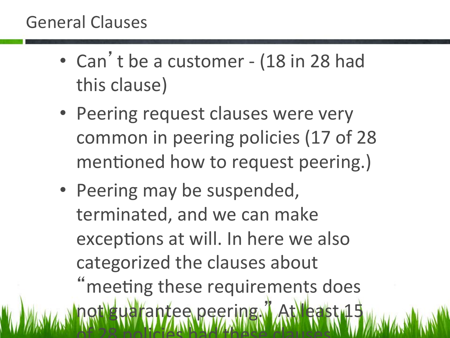- Can't be a customer (18 in 28 had this clause)
- Peering request clauses were very common in peering policies (17 of 28) mentioned how to request peering.)
- Peering may be suspended, terminated, and we can make exceptions at will. In here we also categorized the clauses about meeting these requirements does uarantee peering." of your alleger than the color of the color of  $\mathcal{W}$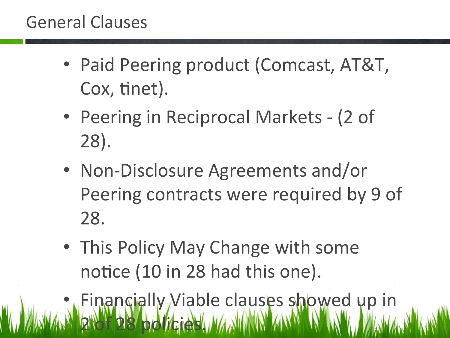- Paid Peering product (Comcast, AT&T, Cox, tinet).
- Peering in Reciprocal Markets (2 of 28).
- Non-Disclosure Agreements and/or Peering contracts were required by 9 of 28.
- This Policy May Change with some notice (10 in 28 had this one).
- **Financially Viable clauses showed up in 2** of 28 policies.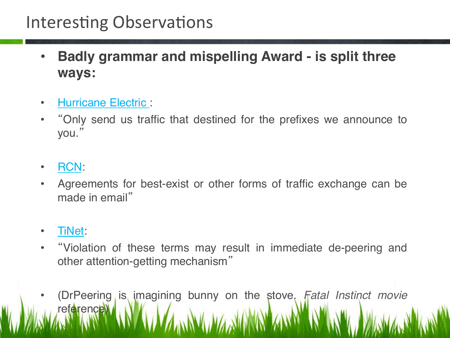#### Interesting Observations

- **Badly grammar and mispelling Award is split three ways:**
- Hurricane Electric :
- "Only send us traffic that destined for the prefixes we announce to you. "
- RCN:
- Agreements for best-exist or other forms of traffic exchange can be made in email"
- TiNet:
- "Violation of these terms may result in immediate de-peering and other attention-getting mechanism"
- (DrPeering is imagining bunny on the stove. *Fatal Instinct movie*  reference)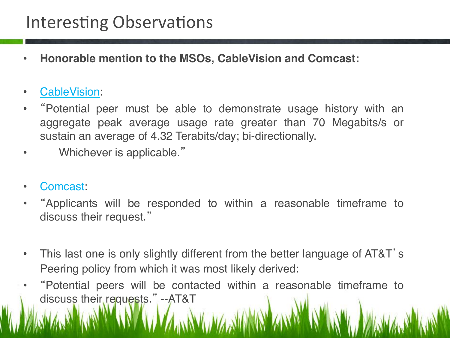#### Interesting Observations

- **Honorable mention to the MSOs, CableVision and Comcast:**
- CableVision:
- "Potential peer must be able to demonstrate usage history with an aggregate peak average usage rate greater than 70 Megabits/s or sustain an average of 4.32 Terabits/day; bi-directionally.
- Whichever is applicable."
- Comcast:
- "Applicants will be responded to within a reasonable timeframe to discuss their request."
- This last one is only slightly different from the better language of AT&T's Peering policy from which it was most likely derived:
- "Potential peers will be contacted within a reasonable timeframe to discuss their requests." --AT&T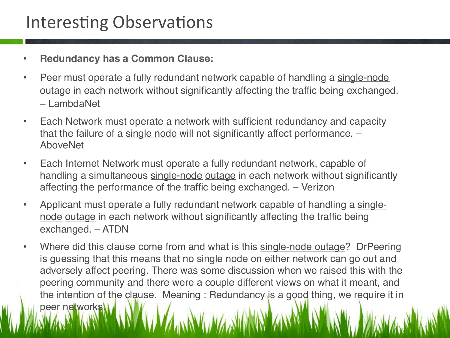#### Interesting Observations

- **Redundancy has a Common Clause:**
- Peer must operate a fully redundant network capable of handling a single-node outage in each network without significantly affecting the traffic being exchanged. – LambdaNet
- Each Network must operate a network with sufficient redundancy and capacity that the failure of a single node will not significantly affect performance. – AboveNet
- Each Internet Network must operate a fully redundant network, capable of handling a simultaneous single-node outage in each network without significantly affecting the performance of the traffic being exchanged. – Verizon
- Applicant must operate a fully redundant network capable of handling a singlenode outage in each network without significantly affecting the traffic being exchanged. – ATDN
- Where did this clause come from and what is this single-node outage? DrPeering is guessing that this means that no single node on either network can go out and adversely affect peering. There was some discussion when we raised this with the peering community and there were a couple different views on what it meant, and the intention of the clause. Meaning : Redundancy is a good thing, we require it in peer networks.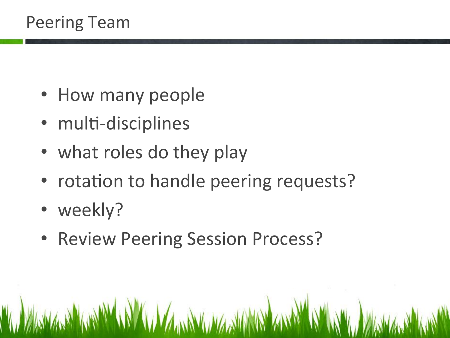#### Peering Team

- How many people
- multi-disciplines
- what roles do they play
- rotation to handle peering requests?
- weekly?
- Review Peering Session Process?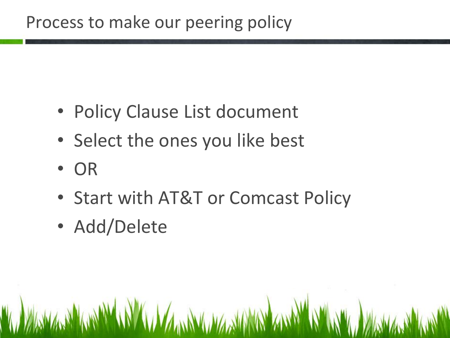#### Process to make our peering policy

- Policy Clause List document
- Select the ones you like best
- OR
- Start with AT&T or Comcast Policy
- Add/Delete